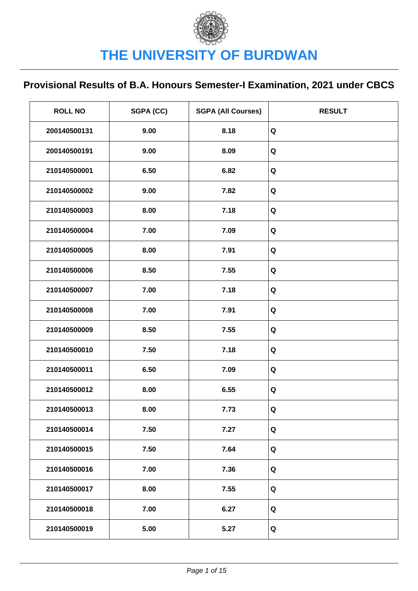| <b>ROLL NO</b> | SGPA (CC) | <b>SGPA (All Courses)</b> | <b>RESULT</b> |
|----------------|-----------|---------------------------|---------------|
| 200140500131   | 9.00      | 8.18                      | Q             |
| 200140500191   | 9.00      | 8.09                      | Q             |
| 210140500001   | 6.50      | 6.82                      | Q             |
| 210140500002   | 9.00      | 7.82                      | Q             |
| 210140500003   | 8.00      | 7.18                      | Q             |
| 210140500004   | 7.00      | 7.09                      | Q             |
| 210140500005   | 8.00      | 7.91                      | Q             |
| 210140500006   | 8.50      | 7.55                      | Q             |
| 210140500007   | 7.00      | 7.18                      | Q             |
| 210140500008   | 7.00      | 7.91                      | Q             |
| 210140500009   | 8.50      | 7.55                      | Q             |
| 210140500010   | 7.50      | 7.18                      | Q             |
| 210140500011   | 6.50      | 7.09                      | Q             |
| 210140500012   | 8.00      | 6.55                      | Q             |
| 210140500013   | 8.00      | 7.73                      | Q             |
| 210140500014   | 7.50      | 7.27                      | Q             |
| 210140500015   | 7.50      | 7.64                      | Q             |
| 210140500016   | 7.00      | 7.36                      | Q             |
| 210140500017   | 8.00      | 7.55                      | Q             |
| 210140500018   | 7.00      | 6.27                      | Q             |
| 210140500019   | 5.00      | 5.27                      | Q             |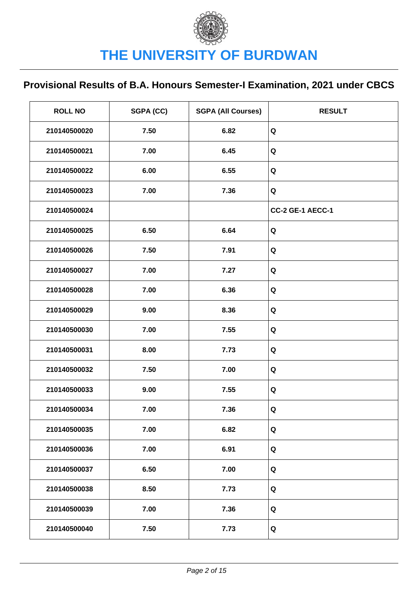| <b>ROLL NO</b> | SGPA (CC) | <b>SGPA (All Courses)</b> | <b>RESULT</b>    |
|----------------|-----------|---------------------------|------------------|
| 210140500020   | 7.50      | 6.82                      | Q                |
| 210140500021   | 7.00      | 6.45                      | Q                |
| 210140500022   | 6.00      | 6.55                      | Q                |
| 210140500023   | 7.00      | 7.36                      | Q                |
| 210140500024   |           |                           | CC-2 GE-1 AECC-1 |
| 210140500025   | 6.50      | 6.64                      | Q                |
| 210140500026   | 7.50      | 7.91                      | Q                |
| 210140500027   | 7.00      | 7.27                      | Q                |
| 210140500028   | 7.00      | 6.36                      | Q                |
| 210140500029   | 9.00      | 8.36                      | Q                |
| 210140500030   | 7.00      | 7.55                      | Q                |
| 210140500031   | 8.00      | 7.73                      | Q                |
| 210140500032   | 7.50      | 7.00                      | Q                |
| 210140500033   | 9.00      | 7.55                      | Q                |
| 210140500034   | 7.00      | 7.36                      | Q                |
| 210140500035   | 7.00      | 6.82                      | Q                |
| 210140500036   | 7.00      | 6.91                      | Q                |
| 210140500037   | 6.50      | 7.00                      | Q                |
| 210140500038   | 8.50      | 7.73                      | Q                |
| 210140500039   | 7.00      | 7.36                      | Q                |
| 210140500040   | 7.50      | 7.73                      | Q                |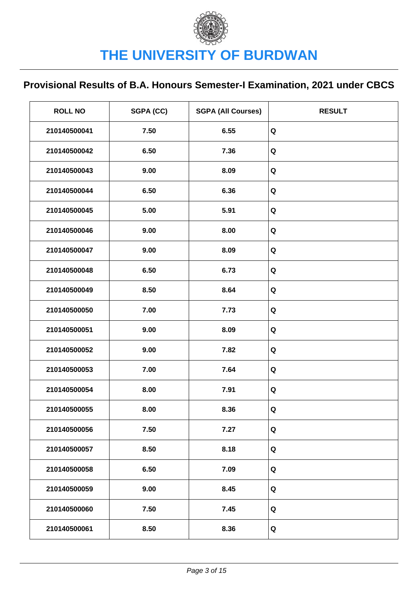| <b>ROLL NO</b> | SGPA (CC) | <b>SGPA (All Courses)</b> | <b>RESULT</b> |
|----------------|-----------|---------------------------|---------------|
| 210140500041   | 7.50      | 6.55                      | Q             |
| 210140500042   | 6.50      | 7.36                      | Q             |
| 210140500043   | 9.00      | 8.09                      | Q             |
| 210140500044   | 6.50      | 6.36                      | Q             |
| 210140500045   | 5.00      | 5.91                      | Q             |
| 210140500046   | 9.00      | 8.00                      | Q             |
| 210140500047   | 9.00      | 8.09                      | Q             |
| 210140500048   | 6.50      | 6.73                      | Q             |
| 210140500049   | 8.50      | 8.64                      | Q             |
| 210140500050   | 7.00      | 7.73                      | Q             |
| 210140500051   | 9.00      | 8.09                      | Q             |
| 210140500052   | 9.00      | 7.82                      | Q             |
| 210140500053   | 7.00      | 7.64                      | Q             |
| 210140500054   | 8.00      | 7.91                      | Q             |
| 210140500055   | 8.00      | 8.36                      | Q             |
| 210140500056   | 7.50      | 7.27                      | Q             |
| 210140500057   | 8.50      | 8.18                      | Q             |
| 210140500058   | 6.50      | 7.09                      | Q             |
| 210140500059   | 9.00      | 8.45                      | Q             |
| 210140500060   | 7.50      | 7.45                      | Q             |
| 210140500061   | 8.50      | 8.36                      | Q             |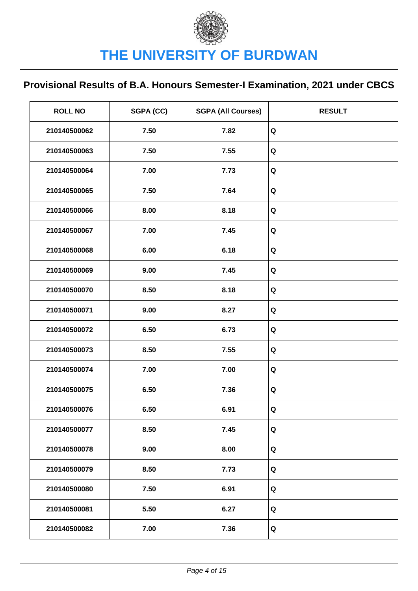| <b>ROLL NO</b> | SGPA (CC) | <b>SGPA (All Courses)</b> | <b>RESULT</b> |
|----------------|-----------|---------------------------|---------------|
| 210140500062   | 7.50      | 7.82                      | Q             |
| 210140500063   | 7.50      | 7.55                      | Q             |
| 210140500064   | 7.00      | 7.73                      | Q             |
| 210140500065   | 7.50      | 7.64                      | Q             |
| 210140500066   | 8.00      | 8.18                      | Q             |
| 210140500067   | 7.00      | 7.45                      | Q             |
| 210140500068   | 6.00      | 6.18                      | Q             |
| 210140500069   | 9.00      | 7.45                      | Q             |
| 210140500070   | 8.50      | 8.18                      | Q             |
| 210140500071   | 9.00      | 8.27                      | Q             |
| 210140500072   | 6.50      | 6.73                      | Q             |
| 210140500073   | 8.50      | 7.55                      | Q             |
| 210140500074   | 7.00      | 7.00                      | Q             |
| 210140500075   | 6.50      | 7.36                      | Q             |
| 210140500076   | 6.50      | 6.91                      | Q             |
| 210140500077   | 8.50      | 7.45                      | Q             |
| 210140500078   | 9.00      | 8.00                      | Q             |
| 210140500079   | 8.50      | 7.73                      | Q             |
| 210140500080   | 7.50      | 6.91                      | Q             |
| 210140500081   | 5.50      | 6.27                      | Q             |
| 210140500082   | 7.00      | 7.36                      | Q             |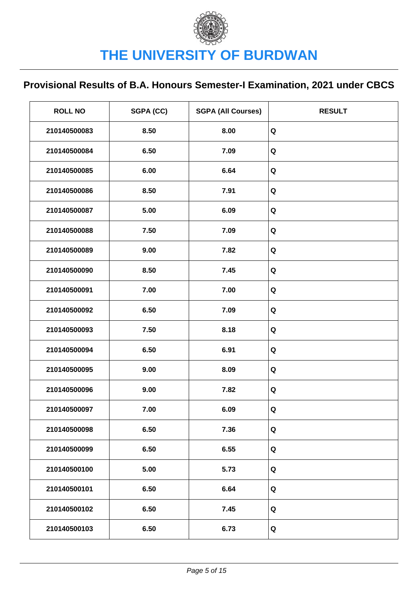| <b>ROLL NO</b> | SGPA (CC) | <b>SGPA (All Courses)</b> | <b>RESULT</b> |
|----------------|-----------|---------------------------|---------------|
| 210140500083   | 8.50      | 8.00                      | Q             |
| 210140500084   | 6.50      | 7.09                      | $\mathbf Q$   |
| 210140500085   | 6.00      | 6.64                      | Q             |
| 210140500086   | 8.50      | 7.91                      | Q             |
| 210140500087   | 5.00      | 6.09                      | Q             |
| 210140500088   | 7.50      | 7.09                      | Q             |
| 210140500089   | 9.00      | 7.82                      | Q             |
| 210140500090   | 8.50      | 7.45                      | Q             |
| 210140500091   | 7.00      | 7.00                      | Q             |
| 210140500092   | 6.50      | 7.09                      | Q             |
| 210140500093   | 7.50      | 8.18                      | Q             |
| 210140500094   | 6.50      | 6.91                      | Q             |
| 210140500095   | 9.00      | 8.09                      | Q             |
| 210140500096   | 9.00      | 7.82                      | Q             |
| 210140500097   | 7.00      | 6.09                      | Q             |
| 210140500098   | 6.50      | 7.36                      | Q             |
| 210140500099   | 6.50      | 6.55                      | Q             |
| 210140500100   | 5.00      | 5.73                      | Q             |
| 210140500101   | 6.50      | 6.64                      | Q             |
| 210140500102   | 6.50      | 7.45                      | Q             |
| 210140500103   | 6.50      | 6.73                      | Q             |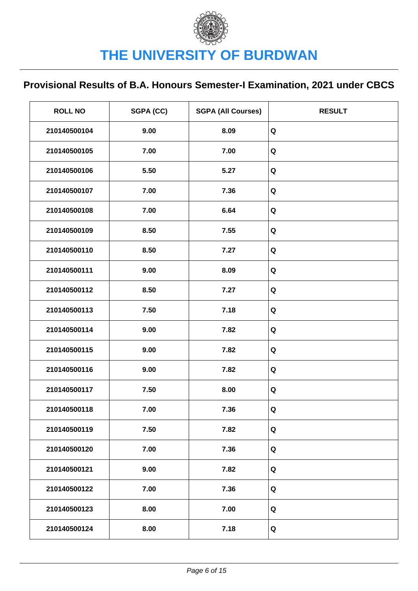| <b>ROLL NO</b> | SGPA (CC) | <b>SGPA (All Courses)</b> | <b>RESULT</b> |
|----------------|-----------|---------------------------|---------------|
| 210140500104   | 9.00      | 8.09                      | Q             |
| 210140500105   | 7.00      | 7.00                      | Q             |
| 210140500106   | 5.50      | 5.27                      | Q             |
| 210140500107   | 7.00      | 7.36                      | Q             |
| 210140500108   | 7.00      | 6.64                      | Q             |
| 210140500109   | 8.50      | 7.55                      | Q             |
| 210140500110   | 8.50      | 7.27                      | Q             |
| 210140500111   | 9.00      | 8.09                      | Q             |
| 210140500112   | 8.50      | 7.27                      | Q             |
| 210140500113   | 7.50      | 7.18                      | Q             |
| 210140500114   | 9.00      | 7.82                      | Q             |
| 210140500115   | 9.00      | 7.82                      | Q             |
| 210140500116   | 9.00      | 7.82                      | Q             |
| 210140500117   | 7.50      | 8.00                      | Q             |
| 210140500118   | 7.00      | 7.36                      | Q             |
| 210140500119   | 7.50      | 7.82                      | Q             |
| 210140500120   | 7.00      | 7.36                      | Q             |
| 210140500121   | 9.00      | 7.82                      | Q             |
| 210140500122   | 7.00      | 7.36                      | Q             |
| 210140500123   | 8.00      | 7.00                      | Q             |
| 210140500124   | 8.00      | 7.18                      | Q             |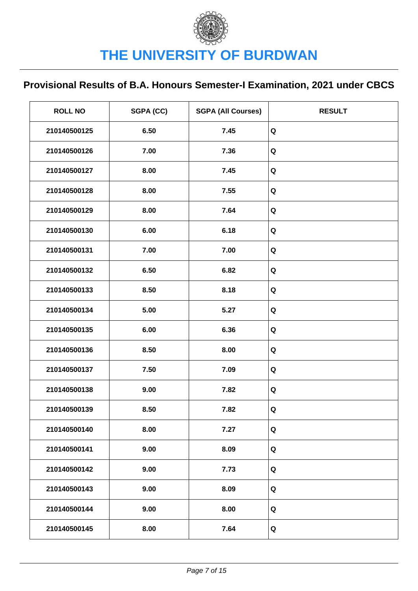| <b>ROLL NO</b> | SGPA (CC) | <b>SGPA (All Courses)</b> | <b>RESULT</b> |
|----------------|-----------|---------------------------|---------------|
| 210140500125   | 6.50      | 7.45                      | Q             |
| 210140500126   | 7.00      | 7.36                      | Q             |
| 210140500127   | 8.00      | 7.45                      | Q             |
| 210140500128   | 8.00      | 7.55                      | Q             |
| 210140500129   | 8.00      | 7.64                      | Q             |
| 210140500130   | 6.00      | 6.18                      | Q             |
| 210140500131   | 7.00      | 7.00                      | Q             |
| 210140500132   | 6.50      | 6.82                      | Q             |
| 210140500133   | 8.50      | 8.18                      | Q             |
| 210140500134   | 5.00      | 5.27                      | Q             |
| 210140500135   | 6.00      | 6.36                      | Q             |
| 210140500136   | 8.50      | 8.00                      | Q             |
| 210140500137   | 7.50      | 7.09                      | Q             |
| 210140500138   | 9.00      | 7.82                      | Q             |
| 210140500139   | 8.50      | 7.82                      | Q             |
| 210140500140   | 8.00      | 7.27                      | Q             |
| 210140500141   | 9.00      | 8.09                      | Q             |
| 210140500142   | 9.00      | 7.73                      | Q             |
| 210140500143   | 9.00      | 8.09                      | Q             |
| 210140500144   | 9.00      | 8.00                      | Q             |
| 210140500145   | 8.00      | 7.64                      | Q             |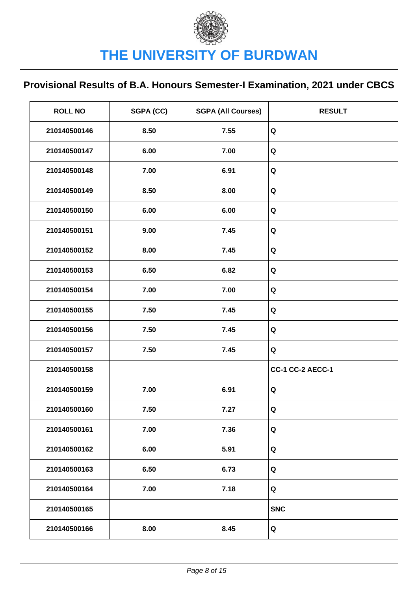| <b>ROLL NO</b> | SGPA (CC) | <b>SGPA (All Courses)</b> | <b>RESULT</b>           |
|----------------|-----------|---------------------------|-------------------------|
| 210140500146   | 8.50      | 7.55                      | Q                       |
| 210140500147   | 6.00      | 7.00                      | Q                       |
| 210140500148   | 7.00      | 6.91                      | Q                       |
| 210140500149   | 8.50      | 8.00                      | Q                       |
| 210140500150   | 6.00      | 6.00                      | Q                       |
| 210140500151   | 9.00      | 7.45                      | Q                       |
| 210140500152   | 8.00      | 7.45                      | Q                       |
| 210140500153   | 6.50      | 6.82                      | Q                       |
| 210140500154   | 7.00      | 7.00                      | Q                       |
| 210140500155   | 7.50      | 7.45                      | Q                       |
| 210140500156   | 7.50      | 7.45                      | Q                       |
| 210140500157   | 7.50      | 7.45                      | Q                       |
| 210140500158   |           |                           | <b>CC-1 CC-2 AECC-1</b> |
| 210140500159   | 7.00      | 6.91                      | Q                       |
| 210140500160   | 7.50      | 7.27                      | Q                       |
| 210140500161   | 7.00      | 7.36                      | Q                       |
| 210140500162   | 6.00      | 5.91                      | Q                       |
| 210140500163   | 6.50      | 6.73                      | Q                       |
| 210140500164   | 7.00      | 7.18                      | Q                       |
| 210140500165   |           |                           | <b>SNC</b>              |
| 210140500166   | 8.00      | 8.45                      | Q                       |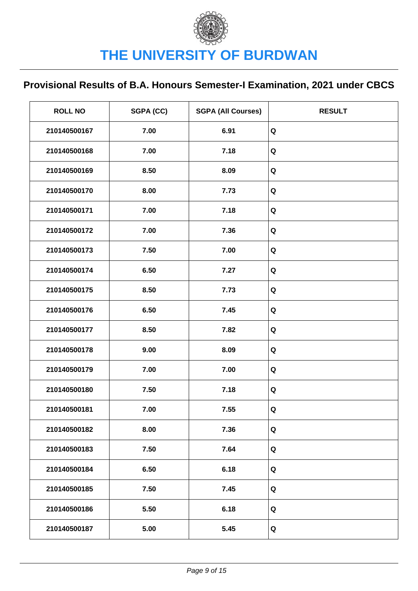| <b>ROLL NO</b> | SGPA (CC) | <b>SGPA (All Courses)</b> | <b>RESULT</b> |
|----------------|-----------|---------------------------|---------------|
| 210140500167   | 7.00      | 6.91                      | Q             |
| 210140500168   | 7.00      | 7.18                      | Q             |
| 210140500169   | 8.50      | 8.09                      | Q             |
| 210140500170   | 8.00      | 7.73                      | Q             |
| 210140500171   | 7.00      | 7.18                      | Q             |
| 210140500172   | 7.00      | 7.36                      | Q             |
| 210140500173   | 7.50      | 7.00                      | Q             |
| 210140500174   | 6.50      | 7.27                      | Q             |
| 210140500175   | 8.50      | 7.73                      | Q             |
| 210140500176   | 6.50      | 7.45                      | Q             |
| 210140500177   | 8.50      | 7.82                      | Q             |
| 210140500178   | 9.00      | 8.09                      | Q             |
| 210140500179   | 7.00      | 7.00                      | Q             |
| 210140500180   | 7.50      | 7.18                      | Q             |
| 210140500181   | 7.00      | 7.55                      | Q             |
| 210140500182   | 8.00      | 7.36                      | Q             |
| 210140500183   | 7.50      | 7.64                      | Q             |
| 210140500184   | 6.50      | 6.18                      | Q             |
| 210140500185   | 7.50      | 7.45                      | Q             |
| 210140500186   | 5.50      | 6.18                      | Q             |
| 210140500187   | 5.00      | 5.45                      | Q             |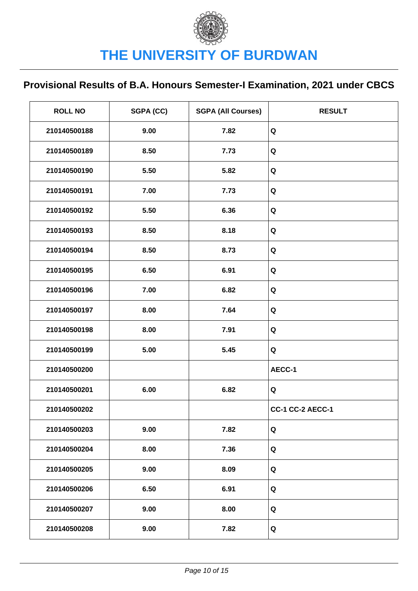| <b>ROLL NO</b> | SGPA (CC) | <b>SGPA (All Courses)</b> | <b>RESULT</b>           |
|----------------|-----------|---------------------------|-------------------------|
| 210140500188   | 9.00      | 7.82                      | Q                       |
| 210140500189   | 8.50      | 7.73                      | Q                       |
| 210140500190   | 5.50      | 5.82                      | Q                       |
| 210140500191   | 7.00      | 7.73                      | Q                       |
| 210140500192   | 5.50      | 6.36                      | Q                       |
| 210140500193   | 8.50      | 8.18                      | Q                       |
| 210140500194   | 8.50      | 8.73                      | Q                       |
| 210140500195   | 6.50      | 6.91                      | Q                       |
| 210140500196   | 7.00      | 6.82                      | Q                       |
| 210140500197   | 8.00      | 7.64                      | Q                       |
| 210140500198   | 8.00      | 7.91                      | Q                       |
| 210140500199   | 5.00      | 5.45                      | Q                       |
| 210140500200   |           |                           | AECC-1                  |
| 210140500201   | 6.00      | 6.82                      | Q                       |
| 210140500202   |           |                           | <b>CC-1 CC-2 AECC-1</b> |
| 210140500203   | 9.00      | 7.82                      | Q                       |
| 210140500204   | 8.00      | 7.36                      | Q                       |
| 210140500205   | 9.00      | 8.09                      | Q                       |
| 210140500206   | 6.50      | 6.91                      | Q                       |
| 210140500207   | 9.00      | 8.00                      | Q                       |
| 210140500208   | 9.00      | 7.82                      | Q                       |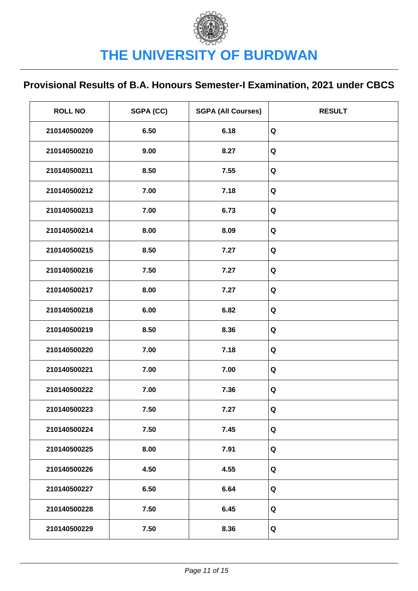| <b>ROLL NO</b> | SGPA (CC) | <b>SGPA (All Courses)</b> | <b>RESULT</b> |
|----------------|-----------|---------------------------|---------------|
| 210140500209   | 6.50      | 6.18                      | Q             |
| 210140500210   | 9.00      | 8.27                      | Q             |
| 210140500211   | 8.50      | 7.55                      | Q             |
| 210140500212   | 7.00      | 7.18                      | Q             |
| 210140500213   | 7.00      | 6.73                      | Q             |
| 210140500214   | 8.00      | 8.09                      | Q             |
| 210140500215   | 8.50      | 7.27                      | Q             |
| 210140500216   | 7.50      | 7.27                      | Q             |
| 210140500217   | 8.00      | 7.27                      | Q             |
| 210140500218   | 6.00      | 6.82                      | Q             |
| 210140500219   | 8.50      | 8.36                      | Q             |
| 210140500220   | 7.00      | 7.18                      | Q             |
| 210140500221   | 7.00      | 7.00                      | Q             |
| 210140500222   | 7.00      | 7.36                      | Q             |
| 210140500223   | 7.50      | 7.27                      | Q             |
| 210140500224   | 7.50      | 7.45                      | Q             |
| 210140500225   | 8.00      | 7.91                      | Q             |
| 210140500226   | 4.50      | 4.55                      | Q             |
| 210140500227   | 6.50      | 6.64                      | Q             |
| 210140500228   | 7.50      | 6.45                      | Q             |
| 210140500229   | 7.50      | 8.36                      | Q             |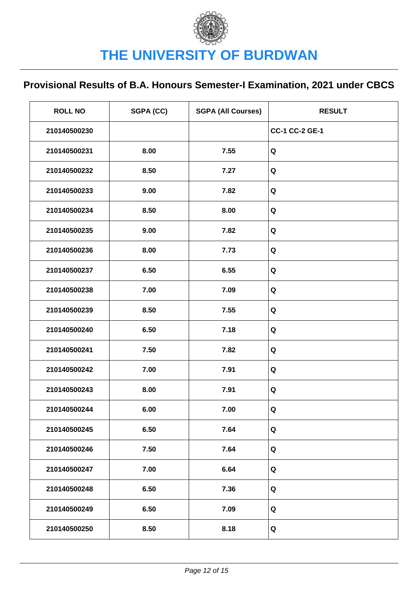| <b>ROLL NO</b> | SGPA (CC) | <b>SGPA (All Courses)</b> | <b>RESULT</b>         |
|----------------|-----------|---------------------------|-----------------------|
| 210140500230   |           |                           | <b>CC-1 CC-2 GE-1</b> |
| 210140500231   | 8.00      | 7.55                      | Q                     |
| 210140500232   | 8.50      | 7.27                      | Q                     |
| 210140500233   | 9.00      | 7.82                      | Q                     |
| 210140500234   | 8.50      | 8.00                      | Q                     |
| 210140500235   | 9.00      | 7.82                      | Q                     |
| 210140500236   | 8.00      | 7.73                      | Q                     |
| 210140500237   | 6.50      | 6.55                      | Q                     |
| 210140500238   | 7.00      | 7.09                      | Q                     |
| 210140500239   | 8.50      | 7.55                      | Q                     |
| 210140500240   | 6.50      | 7.18                      | Q                     |
| 210140500241   | 7.50      | 7.82                      | Q                     |
| 210140500242   | 7.00      | 7.91                      | Q                     |
| 210140500243   | 8.00      | 7.91                      | Q                     |
| 210140500244   | 6.00      | 7.00                      | Q                     |
| 210140500245   | 6.50      | 7.64                      | Q                     |
| 210140500246   | 7.50      | 7.64                      | Q                     |
| 210140500247   | 7.00      | 6.64                      | Q                     |
| 210140500248   | 6.50      | 7.36                      | Q                     |
| 210140500249   | 6.50      | 7.09                      | Q                     |
| 210140500250   | 8.50      | 8.18                      | Q                     |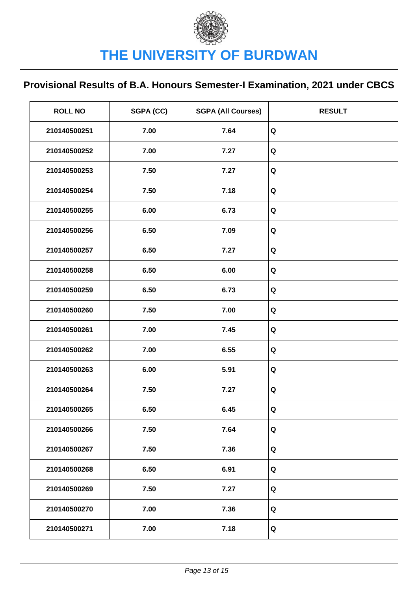| <b>ROLL NO</b> | SGPA (CC) | <b>SGPA (All Courses)</b> | <b>RESULT</b> |
|----------------|-----------|---------------------------|---------------|
| 210140500251   | 7.00      | 7.64                      | Q             |
| 210140500252   | 7.00      | 7.27                      | Q             |
| 210140500253   | 7.50      | 7.27                      | Q             |
| 210140500254   | 7.50      | 7.18                      | Q             |
| 210140500255   | 6.00      | 6.73                      | Q             |
| 210140500256   | 6.50      | 7.09                      | Q             |
| 210140500257   | 6.50      | 7.27                      | Q             |
| 210140500258   | 6.50      | 6.00                      | Q             |
| 210140500259   | 6.50      | 6.73                      | Q             |
| 210140500260   | 7.50      | 7.00                      | Q             |
| 210140500261   | 7.00      | 7.45                      | Q             |
| 210140500262   | 7.00      | 6.55                      | Q             |
| 210140500263   | 6.00      | 5.91                      | Q             |
| 210140500264   | 7.50      | 7.27                      | Q             |
| 210140500265   | 6.50      | 6.45                      | Q             |
| 210140500266   | 7.50      | 7.64                      | Q             |
| 210140500267   | 7.50      | 7.36                      | Q             |
| 210140500268   | 6.50      | 6.91                      | Q             |
| 210140500269   | 7.50      | 7.27                      | Q             |
| 210140500270   | 7.00      | 7.36                      | Q             |
| 210140500271   | 7.00      | 7.18                      | Q             |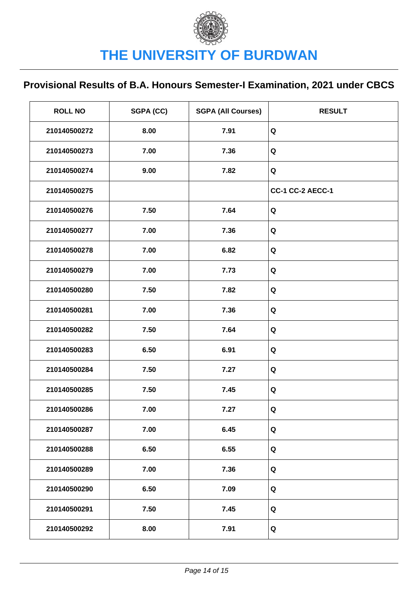| <b>ROLL NO</b> | SGPA (CC) | <b>SGPA (All Courses)</b> | <b>RESULT</b>           |
|----------------|-----------|---------------------------|-------------------------|
| 210140500272   | 8.00      | 7.91                      | Q                       |
| 210140500273   | 7.00      | 7.36                      | Q                       |
| 210140500274   | 9.00      | 7.82                      | Q                       |
| 210140500275   |           |                           | <b>CC-1 CC-2 AECC-1</b> |
| 210140500276   | 7.50      | 7.64                      | Q                       |
| 210140500277   | 7.00      | 7.36                      | Q                       |
| 210140500278   | 7.00      | 6.82                      | Q                       |
| 210140500279   | 7.00      | 7.73                      | Q                       |
| 210140500280   | 7.50      | 7.82                      | Q                       |
| 210140500281   | 7.00      | 7.36                      | Q                       |
| 210140500282   | 7.50      | 7.64                      | Q                       |
| 210140500283   | 6.50      | 6.91                      | Q                       |
| 210140500284   | 7.50      | 7.27                      | Q                       |
| 210140500285   | 7.50      | 7.45                      | Q                       |
| 210140500286   | 7.00      | 7.27                      | Q                       |
| 210140500287   | 7.00      | 6.45                      | Q                       |
| 210140500288   | 6.50      | 6.55                      | Q                       |
| 210140500289   | 7.00      | 7.36                      | Q                       |
| 210140500290   | 6.50      | 7.09                      | Q                       |
| 210140500291   | 7.50      | 7.45                      | Q                       |
| 210140500292   | 8.00      | 7.91                      | Q                       |